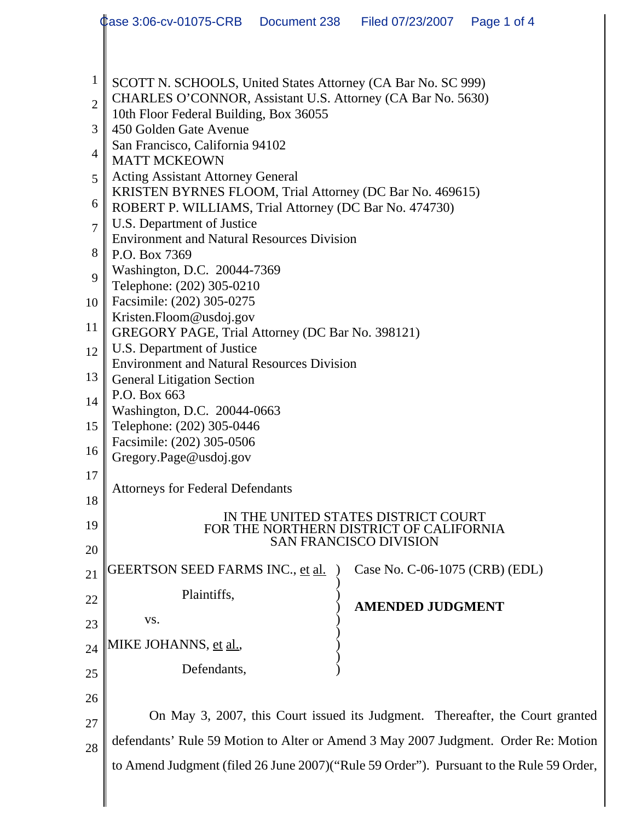|                | Case 3:06-cv-01075-CRB  Document 238  Filed 07/23/2007  Page 1 of 4                                                  |  |                                |  |  |  |  |  |
|----------------|----------------------------------------------------------------------------------------------------------------------|--|--------------------------------|--|--|--|--|--|
|                |                                                                                                                      |  |                                |  |  |  |  |  |
| $\mathbf{1}$   | SCOTT N. SCHOOLS, United States Attorney (CA Bar No. SC 999)                                                         |  |                                |  |  |  |  |  |
| $\overline{2}$ | CHARLES O'CONNOR, Assistant U.S. Attorney (CA Bar No. 5630)                                                          |  |                                |  |  |  |  |  |
| 3              | 10th Floor Federal Building, Box 36055<br>450 Golden Gate Avenue                                                     |  |                                |  |  |  |  |  |
| $\overline{4}$ | San Francisco, California 94102<br><b>MATT MCKEOWN</b>                                                               |  |                                |  |  |  |  |  |
| 5              | <b>Acting Assistant Attorney General</b>                                                                             |  |                                |  |  |  |  |  |
| 6              | KRISTEN BYRNES FLOOM, Trial Attorney (DC Bar No. 469615)<br>ROBERT P. WILLIAMS, Trial Attorney (DC Bar No. 474730)   |  |                                |  |  |  |  |  |
| $\overline{7}$ | U.S. Department of Justice<br><b>Environment and Natural Resources Division</b>                                      |  |                                |  |  |  |  |  |
| 8              | P.O. Box 7369                                                                                                        |  |                                |  |  |  |  |  |
| 9              | Washington, D.C. 20044-7369<br>Telephone: (202) 305-0210                                                             |  |                                |  |  |  |  |  |
| 10             | Facsimile: (202) 305-0275                                                                                            |  |                                |  |  |  |  |  |
| 11             | Kristen.Floom@usdoj.gov<br>GREGORY PAGE, Trial Attorney (DC Bar No. 398121)                                          |  |                                |  |  |  |  |  |
| 12             | U.S. Department of Justice<br><b>Environment and Natural Resources Division</b><br><b>General Litigation Section</b> |  |                                |  |  |  |  |  |
| 13             |                                                                                                                      |  |                                |  |  |  |  |  |
| 14             | P.O. Box 663                                                                                                         |  |                                |  |  |  |  |  |
| 15             | Washington, D.C. 20044-0663<br>Telephone: (202) 305-0446                                                             |  |                                |  |  |  |  |  |
| 16             | Facsimile: (202) 305-0506<br>Gregory.Page@usdoj.gov                                                                  |  |                                |  |  |  |  |  |
| 17             |                                                                                                                      |  |                                |  |  |  |  |  |
| 18             | <b>Attorneys for Federal Defendants</b>                                                                              |  |                                |  |  |  |  |  |
| 19             | IN THE UNITED STATES DISTRICT COURT<br>FOR THE NORTHERN DISTRICT OF CALIFORNIA                                       |  |                                |  |  |  |  |  |
| 20             |                                                                                                                      |  | <b>SAN FRANCISCO DIVISION</b>  |  |  |  |  |  |
| 21             | GEERTSON SEED FARMS INC., <u>et al.</u>                                                                              |  | Case No. C-06-1075 (CRB) (EDL) |  |  |  |  |  |
| 22             | Plaintiffs,                                                                                                          |  | <b>AMENDED JUDGMENT</b>        |  |  |  |  |  |
| 23             | VS.                                                                                                                  |  |                                |  |  |  |  |  |
| 24             | MIKE JOHANNS, <u>et al.,</u>                                                                                         |  |                                |  |  |  |  |  |
| 25             | Defendants,                                                                                                          |  |                                |  |  |  |  |  |
| 26             |                                                                                                                      |  |                                |  |  |  |  |  |
| 27             | On May 3, 2007, this Court issued its Judgment. Thereafter, the Court granted                                        |  |                                |  |  |  |  |  |
| 28             | defendants' Rule 59 Motion to Alter or Amend 3 May 2007 Judgment. Order Re: Motion                                   |  |                                |  |  |  |  |  |
|                | to Amend Judgment (filed 26 June 2007)("Rule 59 Order"). Pursuant to the Rule 59 Order,                              |  |                                |  |  |  |  |  |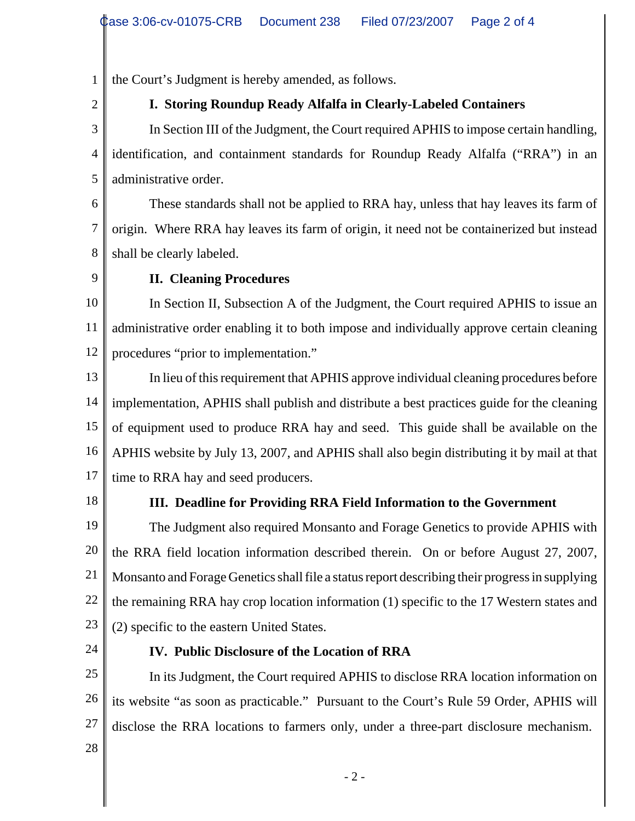1 the Court's Judgment is hereby amended, as follows.

2

# **I. Storing Roundup Ready Alfalfa in Clearly-Labeled Containers**

3 4 5 In Section III of the Judgment, the Court required APHIS to impose certain handling, identification, and containment standards for Roundup Ready Alfalfa ("RRA") in an administrative order.

6 7 8 These standards shall not be applied to RRA hay, unless that hay leaves its farm of origin. Where RRA hay leaves its farm of origin, it need not be containerized but instead shall be clearly labeled.

9

## **II. Cleaning Procedures**

10 11 12 In Section II, Subsection A of the Judgment, the Court required APHIS to issue an administrative order enabling it to both impose and individually approve certain cleaning procedures "prior to implementation."

13 14 15 16 17 In lieu of this requirement that APHIS approve individual cleaning procedures before implementation, APHIS shall publish and distribute a best practices guide for the cleaning of equipment used to produce RRA hay and seed. This guide shall be available on the APHIS website by July 13, 2007, and APHIS shall also begin distributing it by mail at that time to RRA hay and seed producers.

18

## **III. Deadline for Providing RRA Field Information to the Government**

19 20 21 22 23 The Judgment also required Monsanto and Forage Genetics to provide APHIS with the RRA field location information described therein. On or before August 27, 2007, Monsanto and Forage Genetics shall file a status report describing their progress in supplying the remaining RRA hay crop location information (1) specific to the 17 Western states and (2) specific to the eastern United States.

24

## **IV. Public Disclosure of the Location of RRA**

25 26 27 In its Judgment, the Court required APHIS to disclose RRA location information on its website "as soon as practicable." Pursuant to the Court's Rule 59 Order, APHIS will disclose the RRA locations to farmers only, under a three-part disclosure mechanism.

28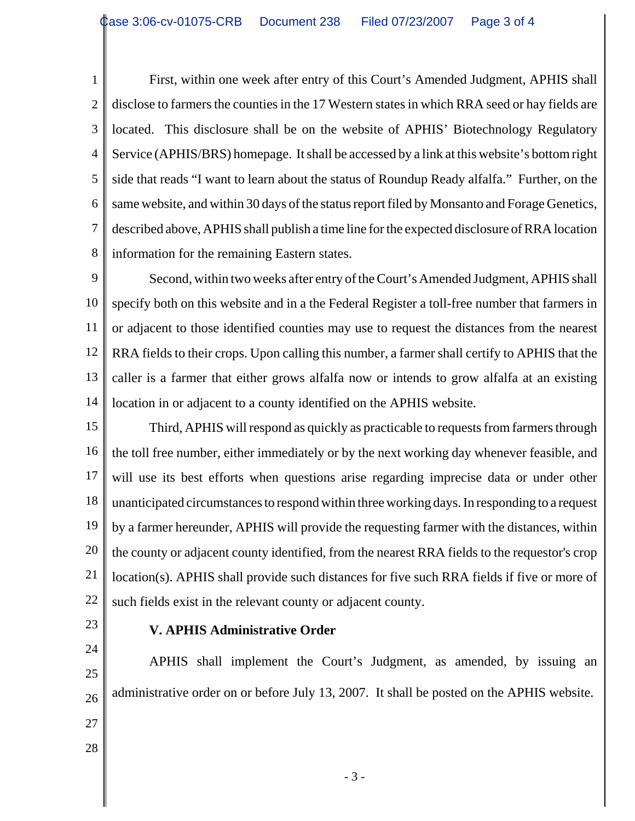1 2 3 4 5 6 7 8 First, within one week after entry of this Court's Amended Judgment, APHIS shall disclose to farmers the counties in the 17 Western states in which RRA seed or hay fields are located. This disclosure shall be on the website of APHIS' Biotechnology Regulatory Service (APHIS/BRS) homepage. It shall be accessed by a link at this website's bottom right side that reads "I want to learn about the status of Roundup Ready alfalfa." Further, on the same website, and within 30 days of the status report filed by Monsanto and Forage Genetics, described above, APHIS shall publish a time line for the expected disclosure of RRA location information for the remaining Eastern states.

9 10 11 12 13 14 Second, within two weeks after entry of the Court's Amended Judgment, APHIS shall specify both on this website and in a the Federal Register a toll-free number that farmers in or adjacent to those identified counties may use to request the distances from the nearest RRA fields to their crops. Upon calling this number, a farmer shall certify to APHIS that the caller is a farmer that either grows alfalfa now or intends to grow alfalfa at an existing location in or adjacent to a county identified on the APHIS website.

15 16 17 18 19 20 21 22 Third, APHIS will respond as quickly as practicable to requests from farmers through the toll free number, either immediately or by the next working day whenever feasible, and will use its best efforts when questions arise regarding imprecise data or under other unanticipated circumstances to respond within three working days. In responding to a request by a farmer hereunder, APHIS will provide the requesting farmer with the distances, within the county or adjacent county identified, from the nearest RRA fields to the requestor's crop location(s). APHIS shall provide such distances for five such RRA fields if five or more of such fields exist in the relevant county or adjacent county.

23

24

#### **V. APHIS Administrative Order**

25 26 27 28 APHIS shall implement the Court's Judgment, as amended, by issuing an administrative order on or before July 13, 2007. It shall be posted on the APHIS website.